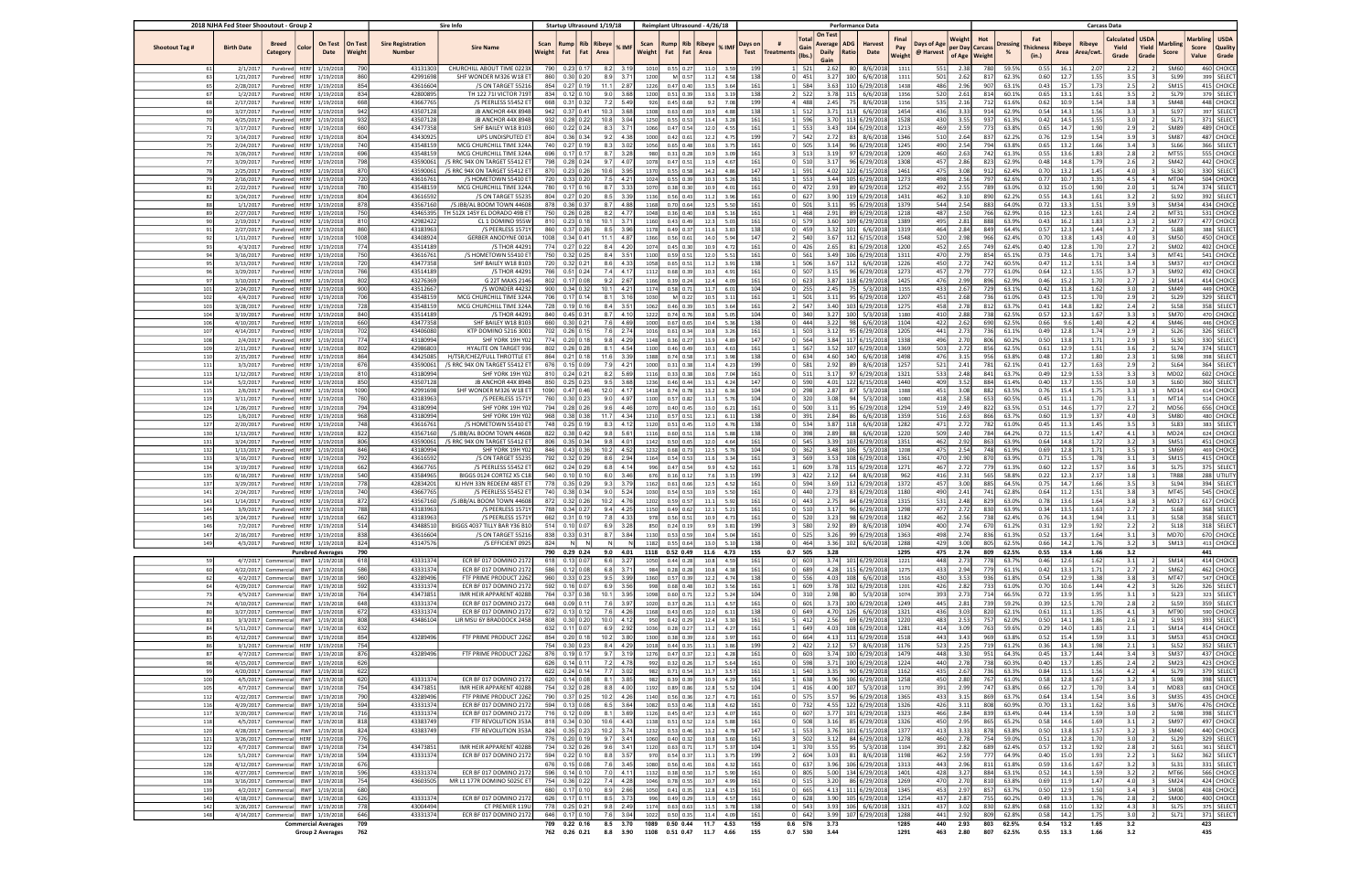| 2018 NJHA Fed Steer Shooutout - Group 2 |                                                                          |             | <b>Sire Info</b>                              |                                           |                                                     | Startup Ultrasound 1/19/18 |                                  | Reimplant Ultrasound - 4/26/18 |                             |                                   | <b>Performance Data</b>                          |              |                     |                 |            |                                |                                                      |                                                      |                                                    |            | <b>Carcass Data</b>                                 |                              |                                  |                  |                     |                              |                               |                            |                            |                                        |
|-----------------------------------------|--------------------------------------------------------------------------|-------------|-----------------------------------------------|-------------------------------------------|-----------------------------------------------------|----------------------------|----------------------------------|--------------------------------|-----------------------------|-----------------------------------|--------------------------------------------------|--------------|---------------------|-----------------|------------|--------------------------------|------------------------------------------------------|------------------------------------------------------|----------------------------------------------------|------------|-----------------------------------------------------|------------------------------|----------------------------------|------------------|---------------------|------------------------------|-------------------------------|----------------------------|----------------------------|----------------------------------------|
| Shootout Tag #<br><b>Birth Date</b>     | <b>Breed</b><br>Category                                                 | Color       | On Test<br>On Test<br>Date<br>Weight          | <b>Sire Registration</b><br><b>Number</b> | <b>Sire Name</b>                                    | Scan<br><b>Weight</b>      | <b>Rump</b><br>Fat               | Rib   Ribeye  <br>Fat Area     | % IMF                       | Scan                              | Rump   Rib   Ribeye<br>Weight   Fat   Fat   Area |              | % IMF               | Days on<br>Test | Treatments | Total<br>Gain<br>$($ lbs.)     | On Test<br>ADG<br>Average  <br><b>Daily</b><br>Ratio | Harvest<br>Date                                      | Final<br>Days of Age<br>Pay<br>@ Harvest<br>Weight |            | Weight<br>Hot<br>per Day Carcass<br>of Age   Weight | <b>Dressing</b>              | Fat<br><b>Thickness</b><br>(in.) | Ribeye  <br>Area | Ribeye<br>Area/cwt. | Calculated<br>Yield<br>Grade | <b>USDA</b><br>Yield<br>Grade | <b>Marbling</b><br>Score   | Marbling<br>Score<br>Value | <b>USDA</b><br><b>Quality</b><br>Grade |
|                                         | 2/1/2017<br>Purebred                                                     |             | HERF 1/19/2018<br>790                         | 43131303                                  | CHURCHILL ABOUT TIME 0223)                          | 790                        |                                  | $0.23$ 0.17                    | $8.2$ 3.19                  | 1010                              | $0.55$ 0.27                                      | 11.0         | 3.59                | 199             |            | 1 521                          | 2.62                                                 | 80 8/6/2018                                          | 1311                                               | 551        | 2.38                                                | 780<br>59.5%                 | 0.55                             | 16.1             | 2.07                |                              | 2.2                           | SM60                       |                            | 460 CHOICE                             |
| 63<br>1/21/2017                         | Purebred                                                                 |             | 86<br>HERF 1/19/2018                          | 42991698                                  | SHF WONDER M326 W18 E                               | 860                        |                                  | 0.30   0.20                    | 8.9<br>3.71                 | 1200                              | $M$ 0.57                                         | 11.2         |                     | 138             |            | $0$ 451                        | 3.27                                                 | 100<br>6/6/2018                                      | 1311                                               | 501        | 2.62                                                | 817<br>62.39                 | 0.60                             | 12.7             | 1.55                |                              | 3.5                           | <b>SL99</b>                |                            | 399 SELECT                             |
| 65<br>2/28/2017                         | Purebred                                                                 |             | HERF 1/19/2018<br>$85-$<br>83                 | 43616604<br>42800895                      | /S ON TARGET 5521                                   | 854<br>834                 |                                  | $0.27$ 0.19                    | 11.1<br>2.87                | 1226                              | $0.47$ 0.40                                      | 13.5<br>13.6 | 3.64                | 161<br>138      |            | 584                            | 3.63                                                 | 110 6/29/2018<br>3.78 115 6/6/2018                   | 1438                                               | 486        | 2.96                                                | 63.19<br>907<br>814<br>60.19 | 0.43                             | 15.7             | 1.73                |                              | 2.5<br>3.5                    | SM <sub>15</sub>           |                            | 415 CHOICE<br>379 SELECT               |
| 68<br>2/17/2017                         | 1/2/2017<br>Purebred<br>Purebred                                         |             | HERF 1/19/2018<br>HERF 1/19/2018<br>66        | 43667765                                  | TH 122 71I VICTOR 719<br>/S PEERLESS 55452 E        | 668                        | 0.31                             | $0.12$ 0.10<br> 0.32           | 9.0<br>3.68<br>7.2 5.49     | 1200<br>926                       | $0.51$ 0.39<br>$0.45$ 0.68                       | 9.2          | 3.19<br>7.08        | 199             |            | 2 522<br>- 488                 | 2.45                                                 | 75 8/6/2018                                          | 1356<br>1156                                       | 520<br>535 | 2.61<br>2.16                                        | 61.69<br>712                 | 0.65<br>0.62                     | 13.1<br>10.9     | 1.61<br>1.54        |                              | 3.8                           | <b>SL79</b><br><b>SM48</b> |                            | 448 CHOICE                             |
| 69<br>3/27/2017                         | Purebred                                                                 |             | HERF 1/19/2018<br>942                         | 43507128                                  | JB ANCHOR 44X 894                                   | 942                        |                                  | $0.37$ 0.41                    | 10.3<br>3.68                | 1308                              | 0.63   0.69                                      | 10.9         | 4.88                | 138             |            | $1 \quad 512$                  |                                                      | $3.71$ 113 6/6/2018                                  | 1454                                               | 436        | 3.33                                                | 914<br>62.99                 | 0.54                             | 14.3             | 1.56                |                              | 3.3                           | <b>SL97</b>                |                            | 397 SELECT                             |
| 70 l<br>4/25/2017                       | Purebred                                                                 |             | HERF 1/19/2018<br>932                         | 43507128                                  | JB ANCHOR 44X 894                                   | 932                        |                                  | $0.28$ 0.22                    | 3.04<br>10.8                | 1250                              | $0.55$ 0.53                                      | 13.4         | 3.28                | 161             |            | 1 596                          |                                                      | 3.70 113 6/29/2018                                   | 1528                                               | 430        | 3.55                                                | 937<br>61.39                 | 0.42                             | 14.5             | 1.55                |                              | 3.0                           | SL71                       |                            | 371 SELECT                             |
| 71<br>3/17/2017                         | Purebred                                                                 |             | HERF 1/19/2018<br>660                         | 43477358                                  | SHF BAILEY W18 B103                                 | 660 l                      |                                  | $0.22$ 0.24                    | 8.3 3.71                    | 1066                              | $0.47$ 0.54                                      | 12.0         | 4.55                | 161             |            | $1 \vert 553$                  |                                                      | $3.43$ 104 6/29/2018                                 | 1213                                               | 469        | 2.59                                                | 773<br>63.8%                 | 0.65                             | 14.7             | 1.90                |                              | 2.9                           | <b>SM89</b>                |                            | 489 CHOICE                             |
| 72<br>3/14/2017                         | Purebred                                                                 |             | HERF 1/19/2018<br>80                          | 43430925                                  | UPS UNDISPUTED E                                    | 804                        |                                  | 0.36 0.34                      | 4.38<br>9.2                 | 1000                              | 0.42   0.61                                      | 12.2         | 4.75                | 199             |            | 7 542                          | 2.72                                                 | 83 8/6/2018                                          | 1346                                               | 510        | 2.64                                                | 837<br>62.29                 | 0.76                             | 12.9             | 1.54                |                              | 3.9                           | SM8                        |                            | 487 CHOICE                             |
| 75<br>2/24/2017                         | Purebred                                                                 |             | HERF 1/19/2018<br>740                         | 43548159                                  | MCG CHURCHILL TIME 324A                             | 740                        |                                  | $0.27$ 0.19                    | 3.02<br>8.3                 | 1056                              | $0.65$ 0.48                                      | 10.6         | 3.7'                | 161             |            | $0$ 505                        | 3.14                                                 | 96 6/29/2018                                         | 1245                                               | 490        | 2.54                                                | 794<br>63.8%                 | 0.65                             | 13.2             | 1.66                |                              | 3.4                           | <b>SL66</b>                |                            | 366 SELECT                             |
| 76<br>3/26/2017                         | Purebred                                                                 |             | HERF 1/19/2018<br>69                          | 43548159                                  | MCG CHURCHILL TIME 324                              | 696                        | 0.17                             | 0.17                           | 8.7<br>3.28                 | 980                               | 0.31   0.28                                      | 10.9         | 3.09                | 161             |            | $3 \mid 513$                   | 3.19                                                 | 97 6/29/2018                                         | 1209                                               | 460        | 2.63                                                | 742<br>61.39                 | 0.55                             | 13.6             | 1.83                |                              | 2.8                           | MT5                        |                            | 555 CHOICE                             |
| 77<br>3/29/2017                         | Purebred                                                                 |             | HERF 1/19/2018<br>798                         | 43590061                                  | /S RRC 94X ON TARGET 55412 ET                       | 798                        |                                  | $0.28$ 0.24                    | 9.7<br>4.07                 | 1078                              | $0.47$ 0.51                                      | 11.9         | 4.67                | 161             |            | 0 510                          | 3.17                                                 | 96 6/29/2018                                         | 1308                                               | 457        | 2.86                                                | 823<br>62.9%                 | 0.48                             | 14.8             | 1.79                |                              | 2.6                           | SM42                       |                            | $442$ CHOICE                           |
| 78<br>2/25/2017                         | Purebred                                                                 |             | 87<br>HERF 1/19/2018                          | 43590061                                  | /S RRC 94X ON TARGET 55412 E                        | 870                        |                                  | 0.23   0.26                    | 10.6<br>3.95                | 1370                              | $0.55$ 0.58                                      | 14.2         | 4.86                | 147             |            | 1 591                          | 4.02                                                 | 122 6/15/2018                                        | 1461                                               | 475        | 3.08                                                | 912<br>62.49                 | 0.70                             | 13.2             | 1.45                |                              | 4.0                           | <b>SL30</b>                |                            | 330 SELECT                             |
| 79<br>2/16/2017<br>81                   | Purebred                                                                 |             | HERF 1/19/2018<br>720                         | 43616761<br>43548159                      | /S HOMETOWN 55410 E<br>MCG CHURCHILL TIME 324A      | 720<br>780                 |                                  | 0.33   0.20<br>$0.17$ 0.16     | 7.5 4.21<br>8.7<br>3.33     | 1024                              | 0.55   0.39<br>0.38   0.30                       | 10.3         | 5.26                | 161<br>161      |            | $1 \mid 553$<br>$0 \mid 472$   | 2.93                                                 | 3.44 105 6/29/2018<br>89 6/29/2018                   | 1273                                               | 498<br>492 | 2.56<br>2.55                                        | 797<br>62.69<br>789<br>63.09 | 0.77<br>0.32                     | 10.7<br>15.0     | 1.35<br>1.90        |                              | 4.5<br>2.0                    | MT04<br><b>SL74</b>        |                            | 504 CHOICE<br>374 SELECT               |
| 2/22/2017<br>82<br>3/24/2017            | Purebred<br>Purebred                                                     |             | HERF 1/19/2018<br>HERF 1/19/2018<br>80        | 43616592                                  | /S ON TARGET 5523                                   | 804                        |                                  | $0.27$ 0.20                    | 8.5 3.39                    | 1070<br>1136                      | $0.56$ 0.43                                      | 10.9<br>11.2 | 4.01<br>3.96        | 161             |            | $0 \ 627$                      | 3.90                                                 | 119 6/29/2018                                        | 1252<br>1431                                       | 462        | 3.10                                                | 890<br>62.29                 | 0.55                             | 14.3             | 1.61                |                              | 3.2                           | SL92                       |                            | 392 SELECT                             |
| 88'<br>1/1/2017                         | Purebred                                                                 |             | HERF 1/19/2018<br>87                          | 43567160                                  | /S JBB/AL BOOM TOWN 44608                           | 878                        | 0.36                             | 0.37                           | 8.7<br>4.88                 | 1168                              | 0.70 0.64                                        | 12.5         | 5.50                | 161             |            | 0 501                          | 3.11                                                 | 95 6/29/2018                                         | 1379                                               | 544        | 2.54                                                | 883<br>64.09                 | 0.72                             | 13.3             | 1.51                |                              | 3.9                           | SM34                       |                            | 434 CHOICE                             |
| 89<br>2/27/2017                         | Purebred                                                                 |             | HERF 1/19/2018<br>75                          | 43465395                                  | TH 512X 145Y EL DORADO 49B E                        | 750                        |                                  | $0.26$ 0.28                    | 4.77<br>8.2                 | 1048                              | $0.36$ 0.40                                      | 10.8         | 5.16                | 161             |            | 468                            | 2.91                                                 | 89 6/29/2018                                         | 1218                                               | 487        | 2.50                                                | 766<br>62.99                 | 0.16                             | 12.3             | 1.61                |                              | 2.4                           | MT3:                       |                            | 531 CHOICE                             |
| 90<br>2/19/2017                         | Purebred                                                                 |             | HERF 1/19/2018<br>81                          | 42982422                                  | CL 1 DOMINO 955V                                    | 810                        |                                  | 0.23   0.18                    | 10.1<br>$3.7^{\circ}$       | 1160                              | 0.43   0.49                                      | 12.3         | 5.03                | 161             |            | 0 579                          | 3.60                                                 | 109 6/29/2018                                        | 1389                                               | 495        | 2.81                                                | 888<br>63.99                 | 0.43                             | 16.2             | 1.83                |                              | 2.3                           | SM7                        |                            | 477 CHOICE                             |
| 91<br>2/27/2017                         | Purebred                                                                 |             | HERF 1/19/2018<br>86                          | 43183963                                  | /S PEERLESS 1571                                    | 860                        |                                  | $0.37$ 0.26                    | 3.96<br>8.5                 | 1178                              | $0.49$ 0.37                                      | 11.6         | 3.83                | 138             |            | $0$ 459                        | 3.32                                                 | 101 6/6/2018                                         | 1319                                               | 464        | 2.84                                                | 849<br>64.4%                 | 0.57                             | 12.3             | 1.44                |                              | 3.7                           | <b>SL88</b>                |                            | 388 SELECT                             |
| 92<br>1/11/2017                         | Purebred                                                                 |             | HERF 1/19/2018<br>100                         | 43408924                                  | GERBER ANODYNE 001/                                 | 1008                       |                                  | 0.34   0.41                    | 11.1<br>4.87                | 1366                              | $0.56$ 0.61                                      | 14.0         | 5.94                | 147             |            | 2 540                          | 3.67                                                 | 112 6/15/2018                                        | 1548                                               | 520        | 2.98                                                | 966<br>62.49                 | 0.70                             | 13.8             | 1.43                |                              | 4.0                           | <b>SM50</b>                |                            | 450 CHOICE                             |
| 93                                      | 4/3/2017<br>Purebred                                                     |             | HERF 1/19/2018<br>774                         | 43514189                                  | /S THOR 4429                                        | 774                        | $0.27$ 0.22                      |                                | 4.20<br>8.4                 | 1074                              | $0.45$ 0.30                                      | 10.9         | 4.72                | 161             |            | $0 \mid 426$                   | 2.65                                                 | 81 6/29/2018                                         | 1200                                               | 452        | 2.65                                                | 749<br>62.49                 | 0.40                             | 12.8             | 1.70                |                              | 2.7                           | SM02                       |                            | 402 CHOICE                             |
| 94<br>3/16/2017                         | Purebred                                                                 |             | HERF 1/19/2018<br>75                          | 43616761                                  | /S HOMETOWN 55410 E                                 | 750                        |                                  | 0.32   0.25 <br>0.32   0.21    | 3.51<br>8.4                 | 1100                              | $0.59$ 0.51                                      | 12.0         | 5.51                | 161             |            | 0 561<br>506                   |                                                      | 3.49 106 6/29/2018                                   | 1311                                               | 470        | 2.79                                                | 854<br>65.19<br>60.59        | 0.73                             | 14.6             | 1.71                |                              | 3.4<br>3.4                    | MT4:                       |                            | 541 CHOICE<br>437 CHOICE               |
| 95<br>3/13/2017<br>3/29/2017            | Purebred<br>Purebred                                                     |             | HERF 1/19/2018<br>720<br>76<br>HERF 1/19/2018 | 43477358<br>43514189                      | SHF BAILEY W18 B103<br>/S THOR 4429                 | 720<br>766                 |                                  | 0.51   0.24                    | 8.6<br>4.33<br>7.4<br>4.17  | 1058<br>1112                      | $0.65$ 0.51<br>$0.68$ 0.39                       | 11.2<br>10.3 | 3.91<br>4.91        | 138<br>161      |            | $0$ 507                        | 3.67<br>3.15                                         | 112 6/6/2018<br>96 6/29/2018                         | 1226<br>1273                                       | 450<br>457 | 2.72<br>2.79                                        | 742<br>777<br>61.0%          | 0.47<br>0.64                     | 11.2<br>12.1     | 1.51<br>1.55        |                              | 3.7                           | SM3<br>SM92                |                            | 492 CHOICE                             |
| 97<br>3/10/2017                         | Purebred                                                                 |             | HERF 1/19/2018<br>80                          | 43276369                                  | G 22T MAXS 214                                      | 802                        | 0.17                             | 0.08                           | 9.2<br>2.67                 | 1166                              | $0.39$ 0.24                                      | 12.4         | 4.09                | 161             |            | $0 \mid 623$                   | 3.87                                                 | 118 6/29/2018                                        | 1425                                               | 476        | 2.99                                                | 896<br>62.99                 | 0.46                             | 15.2             | 1.70                |                              | 2.7                           | SM14                       |                            | 414 CHOICE                             |
| 101<br>2/24/2017                        | Purebred                                                                 |             | HERF 1/19/2018<br>90                          | 43512667                                  | /S WONDER 4423                                      | 900                        |                                  | 0.34 0.32                      | 10.1<br>4.21                | 1174                              | $0.58$ 0.71                                      | 11.7         | 6.01                | 104             |            | $0$ 255                        | 2.45                                                 | 75 5/3/2018                                          | 1155                                               | 433        | 2.67                                                | 729<br>63.19                 | 0.42                             | 11.8             | 1.62                |                              | 3.0                           | SM49                       |                            | 449 CHOICE                             |
| 102<br>4/4/2017                         | Purebred                                                                 |             | HERF 1/19/2018<br>706                         | 43548159                                  | MCG CHURCHILL TIME 324/                             | 706                        | 0.17                             | 0.14                           | 3.16<br>8.1                 | 1030                              | $M$ 0.22                                         | 10.5         | 3.11                | 161             |            | 1 501                          | 3.11                                                 | 95 6/29/2018                                         | 1207                                               | 451        | 2.68                                                | 61.0%<br>736                 | 0.43                             | 12.5             | 1.70                |                              | 2.9                           | <b>SL29</b>                |                            | 329 SELECT                             |
| 103<br>3/28/2017                        | Purebred                                                                 |             | HERF 1/19/2018<br><b>72</b>                   | 43548159                                  | MCG CHURCHILL TIME 324/                             | 728                        |                                  | $0.19$ 0.16                    | 8.4<br>3.51                 | 1062                              | $0.46$ 0.39                                      | 10.5         | 3.64                | 161             |            | 2 547                          |                                                      | 3.40 103 6/29/2018                                   | 1275                                               | 458        | 2.78                                                | 812<br>63.79                 | 0.41                             | 14.8             | 1.82                |                              | 2.4                           | <b>SL58</b>                |                            | 358 SELECT                             |
| 104<br>3/19/2017                        | Purebred                                                                 |             | HERF 1/19/2018<br>84                          | 43514189                                  | /S THOR 4429                                        | 840                        | $0.45$ 0.31                      |                                | 8.7<br>4.10                 | 1222                              | $0.74$ 0.76                                      | 10.8         | 5.05                | 104             |            | $0 \mid 340$                   | 3.27                                                 | 100 5/3/2018                                         | 1180                                               | 410        | 2.88                                                | 62.5%<br>738                 | 0.57                             | 12.3             | 1.67                |                              | 3.3                           | SM7                        |                            | 470 CHOICE                             |
| 106<br>4/10/2017                        | Purebred                                                                 |             | HERF 1/19/2018<br>66                          | 43477358                                  | SHF BAILEY W18 B10                                  | 660                        |                                  | 0.30   0.21                    | 7.6<br>4.69                 | 1000                              | $0.67$ 0.65                                      | 10.4         | 5.36                | 138             |            | $0$ 444                        | 3.22                                                 | 98 6/6/2018                                          | 1104                                               | 422        | 2.62                                                | 690<br>62.5%                 | 0.66                             | 9.6              | 1.40                |                              | 4.2                           | SM46                       |                            | 446 CHOICE                             |
| 107<br>4/14/2017                        | Purebred                                                                 |             | HERF 1/19/2018<br>702                         | 43406080                                  | KTP DOMINO 5216 300                                 | 702                        |                                  | $0.26$ 0.15                    | 7.6 2.74                    | 1016                              | $0.61$ 0.34                                      | 10.8         | 3.26                | 161             |            | $1 \vert 503$                  | 3.12                                                 | 95 6/29/2018                                         | 1205                                               | 441        | 2.73                                                | 61.19<br>736                 | 0.49                             | 12.8             | 1.74                |                              | 2.9                           | <b>SL26</b>                |                            | 326 SELECT                             |
| 108<br>109<br>2/11/2017                 | 2/4/2017<br>Purebred<br>Purebred                                         |             | HERF 1/19/2018<br>774<br>HERF 1/19/2018<br>80 | 43180994<br>42986803                      | SHF YORK 19H YO:<br><b>HYALITE ON TARGET 93</b>     | 774<br>802                 |                                  | 0.20   0.18<br>$0.26$ 0.28     | 9.8 4.29<br>4.54<br>8.1     | 1148<br>1100                      | $0.36$ 0.27<br>$0.46$ 0.49                       | 13.9<br>10.3 | 4.89<br>4.63        | 147<br>161      |            | 0 564<br>1 567                 |                                                      | 3.84 117 6/15/2018<br>3.52 107 6/29/2018             | 1338<br>1369                                       | 496<br>503 | 2.70<br>2.72                                        | 806<br>60.29<br>62.5%<br>856 | 0.50<br>0.61                     | 13.8<br>12.9     | 1.71<br>1.51        |                              | 2.9<br>3.6                    | <b>SL30</b><br><b>SL74</b> |                            | 330 SELECT<br>374 SELECT               |
| 110<br>2/15/2017                        | Purebred                                                                 |             | HERF 1/19/2018<br>86                          | 43425085                                  | H/TSR/CHEZ/FULL THROTTLE ET                         | 864                        |                                  | 0.21   0.18                    | 3.39<br>11.6                | 1388                              | $0.74$ 0.58                                      | 17.1         | 3.98                | 138             |            | $0 \quad 634$                  |                                                      | 4.60 140 6/6/2018                                    | 1498                                               | 476        | 3.15                                                | 956<br>63.8%                 | 0.48                             | 17.2             | 1.80                |                              | 2.3                           | <b>SL98</b>                |                            | 398 SELECT                             |
| 111<br>3/3/2017                         | Purebred                                                                 |             | HERF 1/19/2018<br>676                         | 43590061                                  | /S RRC 94X ON TARGET 55412 E                        | 676                        |                                  | $0.15$ 0.09                    | 7.9<br>4.21                 | 1000                              | $0.31$ 0.38                                      | 11.4         | 4.23                | 199             |            | 0 581                          | 2.92                                                 | 89 8/6/2018                                          | 1257                                               | 521        | 2.41                                                | 781<br>62.19                 | 0.41                             | 12.7             | 1.63                |                              | 2.9                           | <b>SL64</b>                |                            | 364 SELECT                             |
| 113<br>1/12/2017                        | Purebred                                                                 |             | HERF 1/19/2018<br>810                         | 43180994                                  | SHF YORK 19H YO:                                    | 810                        |                                  | $0.24 \mid 0.21$               | 8.2<br>5.69                 | 1116                              | 0.33   0.38                                      | 10.6         | 7.04                | 161             |            | $0$ 511                        | 3.17                                                 | 97 6/29/2018                                         | 1321                                               | 533        | 2.48                                                | 841<br>63.79                 | 0.49                             | 12.9             | 1.53                |                              | 3.3                           | MD02                       |                            | 602 CHOICE                             |
| 114                                     | 5/2/2017<br>Purebred                                                     |             | HERF 1/19/2018<br>850                         | 43507128                                  | JB ANCHOR 44X 894                                   | 850                        |                                  | $0.25$ 0.23                    | 9.5 3.68                    | 1236                              | $0.46$ 0.44                                      | 13.1         | 4.24                | 147             |            | 0 590                          | 4.01                                                 | 122 6/15/2018                                        | 1440                                               | 409        | 3.52                                                | 884<br>61.49                 | 0.40                             | 13.7             | 1.55                |                              | 3.0                           | <b>SL60</b>                |                            | 360 SELECT                             |
| 115                                     | 2/6/2017<br>Purebred                                                     |             | HERF 1/19/2018<br>1090                        | 42991698                                  | SHF WONDER M326 W18 ET                              | 1090                       |                                  | $0.47$ 0.46                    | 12.0 4.17                   | 1418                              | $0.74$ 0.78                                      | 13.2         | 6.36                | 104             |            | $0 \mid 298$                   | 2.87                                                 | 87 5/3/2018                                          | 1388                                               | 451        | 3.08                                                | 882<br>63.5%                 | 0.76                             | 15.4             | 1.75                |                              | 3.3                           | MD14                       |                            | 614 CHOICE                             |
| 119<br>3/11/2017                        | Purebred                                                                 |             | HERF 1/19/2018<br>760                         | 43183963                                  | /S PEERLESS 1571                                    | 760                        |                                  | 0.30   0.23                    | 9.0<br>4.97                 | 1100                              | $0.57$ 0.82                                      | 11.3         | 5.76                | 104             |            | $0 \mid 320$                   | 3.08                                                 | 94 5/3/2018                                          | 1080                                               | 418        | 2.58                                                | 653<br>60.59                 | 0.45                             | 11.1             | 1.70                |                              | 3.1                           | MT14                       |                            | 514 CHOICE                             |
| 124<br>1/26/2017<br>125<br>1/6/2017     | Purebred<br>Purebred                                                     |             | HERF 1/19/2018<br>794<br>HERF 1/19/2018<br>96 | 43180994<br>43180994                      | SHF YORK 19H Y02<br>SHF YORK 19H YO                 | 794<br>968                 | 0.38                             | $0.28 \mid 0.26$<br>0.38       | 9.6<br>4.46<br>11.7<br>4.34 | 1070<br>1210                      | 0.40   0.45<br>$0.57$ 0.51                       | 13.0<br>12.1 | 6.21<br>6.11        | 161<br>138      |            | $0$ 500<br>0 391               | 3.11<br>2.84                                         | 95 6/29/2018<br>86 6/6/2018                          | 1294<br>1359                                       | 519<br>516 | 2.49<br>2.63                                        | 822<br>63.59<br>866<br>63.79 | 0.51<br>0.60                     | 14.6<br>11.9     | 1.77<br>1.37        |                              | 2.7<br>4.0                    | MD56<br><b>SM80</b>        |                            | 656 CHOICE<br>480 CHOICE               |
| 127<br>2/20/2017                        | Purebred                                                                 |             | HERF 1/19/2018<br>748                         | 43616761                                  | /S HOMETOWN 55410 E                                 | 748                        |                                  | $0.25$ 0.19                    | 8.3<br>4.12                 | 1120                              | $0.51$ 0.45                                      | 11.0         | 4.76                | 138             |            | 0 534                          | 3.87                                                 | 118 6/6/2018                                         | 1282                                               | 471        | 2.72                                                | 782<br>61.0%                 | 0.45                             | 11.3             | 1.45                |                              | 3.5                           | <b>SL83</b>                |                            | 383 SELECT                             |
| 130<br>1/13/2017                        | Purebred                                                                 |             | HERF 1/19/2018<br>822                         | 43567160                                  | /S JBB/AL BOOM TOWN 44608                           | 822                        |                                  | 0.38   0.42                    | 9.8<br>5.61                 | 1116                              | 0.60   0.51                                      | 11.6         | 5.88                | 138             |            | 0 398                          | 2.89                                                 | 88 6/6/2018                                          | 1220                                               | 509        | 2.40                                                | 784<br>64.29                 | 0.72                             | 11.5             | 1.47                |                              | 4.1                           | MD24                       |                            | 624 CHOICE                             |
| 131<br>3/24/2017                        | Purebred                                                                 |             | HERF 1/19/2018<br>806                         | 43590061                                  | /S RRC 94X ON TARGET 55412 E                        | 806                        |                                  | 0.35   0.34                    | $9.8$ 4.01                  | 1142                              | 0.50   0.65                                      | 12.0         | 4.64                | 161             |            | 0 545                          | 3.39                                                 | 103 6/29/2018                                        | 1351                                               | 462        | 2.92                                                | 863<br>63.99                 | 0.64                             | 14.8             | 1.72                |                              | 3.2                           | SM51                       |                            | 451 CHOICE                             |
| 132<br>1/13/2017                        | Purebred                                                                 |             | HERF 1/19/2018<br>84                          | 43180994                                  | SHF YORK 19H YO:                                    | 846                        |                                  | 0.43   0.36                    | 10.2<br>4.52                | 1232                              | $0.68$ 0.73                                      | 12.5         | 5.76                | 104             |            | $0 \mid 362$                   |                                                      | $3.48$ 106 $5/3/2018$                                | 1208                                               | 475        | 2.54                                                | 748<br>61.99                 | 0.69                             | 12.8             | 1.71                |                              | 3.5                           | SM69                       |                            | 469 CHOICE                             |
| 133<br>3/16/2017                        | Purebred                                                                 |             | HERF 1/19/2018<br>79                          | 43616592                                  | /S ON TARGET 5523                                   | 792                        |                                  | 0.32   0.29                    | 8.6 2.94                    | 1164                              | $0.54$ 0.53                                      | 11.6         | 3.34                | 161             |            | 3 569                          | 3.53                                                 | 108 6/29/2018                                        | 1361                                               | 470        | 2.90                                                | 870<br>63.99                 | 0.71                             | 15.5             | 1.78                |                              | 3.1                           | SM1                        |                            | 415 CHOICE                             |
| 134<br>3/19/2017                        | Purebred                                                                 |             | HERF 1/19/2018<br>66                          | 43667765                                  | /S PEERLESS 55452 B                                 | 662                        |                                  | 0.24   0.29                    | 6.8<br>4.14                 | 996                               | $0.47$ 0.54                                      | 9.9          | 4.52                | 161             |            | 1 609                          | 3.78                                                 | 115 6/29/2018                                        | 1271                                               | 467        | 2.72                                                | 779<br>61.39                 | 0.60                             | 12.2             | 1.57                |                              | 3.6                           | SL7                        |                            | 375 SELECT                             |
| 135<br>6/16/2017<br>137<br>3/29/2017    | Purebred<br>Purebred                                                     |             | HERF 1/19/2018<br>540<br>HERF 1/19/2018<br>77 | 43584965<br>42834201                      | BIGGS 0124 CORTEZ X5 C1<br>KJ HVH 33N REDEEM 485T B | 540<br>778                 |                                  | 0.10   0.10<br>0.35   0.29     | 6.0 3.46<br>3.79<br>9.3     | 676<br>1162                       | $0.16$ 0.12<br>$0.61$ 0.66                       | 12.5         | 7.6<br>3.1!<br>4.52 | 199<br>161      |            | 3   422<br>0 594               | 2.12<br>3.69                                         | 64 8/6/2018<br>112 6/29/2018                         | 962<br>1372                                        | 416<br>457 | 2.31<br>3.00                                        | 58.89<br>565<br>885<br>64.5% | 0.22<br>0.75                     | 12.3<br>14.7     | 2.17<br>1.66        |                              | 1.8<br>3.5                    | <b>TR88</b><br><b>SL94</b> |                            | 288 UTILITY<br>394 SELECT              |
| 141<br>2/24/2017                        | Purebred                                                                 |             | HERF 1/19/2018<br>74                          | 43667765                                  | /S PEERLESS 55452 E                                 | 740                        |                                  | $0.38$ 0.34                    | 9.0<br>5.24                 | 1030                              | $0.54$ 0.53                                      | 10.9         | 5.50                | 161             |            | $0 \mid 440$                   | 2.73                                                 | 83 6/29/2018                                         | 1180                                               | 490        | 2.41                                                | 62.8%<br>741                 | 0.64                             | 11.2             | 1.51                |                              | 3.8                           | MT45                       |                            | 545 CHOICE                             |
| 143<br>1/14/2017                        | Purebred                                                                 | <b>HERF</b> | 1/19/2018<br>87                               | 43567160                                  | /S JBB/AL BOOM TOWN 44608                           | 872                        |                                  | 0.32   0.26                    | 4.76<br>10.2                | 1202                              | $0.59$ 0.57                                      | 11.1         | 5.92                | 161             |            | $0$ 443                        | 2.75                                                 | 84 6/29/2018                                         | 1315                                               | 531        | 2.48                                                | 829<br>63.09                 | 0.78                             | 13.6             | 1.64                |                              | 3.8                           | MD1                        |                            | 617 CHOICE                             |
| 144<br>3/9/2017                         | Purebred                                                                 |             | HERF 1/19/2018<br>78                          | 43183963                                  | /S PEERLESS 1571                                    | 788                        |                                  | $0.34 \mid 0.27$               | 4.25<br>9.4                 | 1150                              | $0.49$ 0.62                                      | 12.1         | 5.21                | 161             |            | $0 \mid 510$                   | 3.17                                                 | 96 6/29/2018                                         | 1298                                               | 477        | 2.72                                                | 830<br>63.9%                 | 0.34                             | 13.5             | 1.63                |                              | 2.7                           | <b>SL68</b>                |                            | 368 SELECT                             |
| 145                                     | 3/24/2017<br>Purebred HERF 1/19/2018                                     |             | 663                                           | 43183963                                  | /S PEERLESS 1571Y                                   | 662                        |                                  | 0.31   0.19                    | 4.33<br>7.8                 | 978                               | $0.56$ $0.51$                                    | 10.9         | 4.73                | 161             |            | $0 \mid 520$                   | 3.23                                                 | 98 6/29/2018                                         | 1182                                               | 462        | 2.56                                                | 738<br>62.4%                 | 0.76                             | 14.3             | 1.94                |                              | 3.1                           | <b>SL58</b>                |                            | 358 SELECT                             |
| 146                                     | Purebred HERF 1/19/2018<br>7/2/2017                                      |             | 514                                           | 43488510                                  | BIGGS 4037 TILLY BAR Y36 B10                        |                            | 514 0.10 0.07                    |                                | 6.9 3.28                    | 850                               | $0.24$ 0.19                                      |              | 9.9<br>3.81         | 199             |            | 3 580                          |                                                      | 2.92 89 8/6/2018                                     | 1094                                               | 400        | 2.74                                                | 670<br>61.2%                 | 0.31                             | 12.9             | 1.92                |                              | 2.2                           | <b>SL18</b>                |                            | 318 SELECT                             |
| 147<br>2/16/2017<br>149                 | Purebred HERF 1/19/2018<br>4/3/2017<br>Purebred HERF 1/19/2018           |             | 838<br>824                                    | 43616604<br>43147576                      | /S ON TARGET 55216<br>/S EFFICIENT 0925             |                            | 838 0.33 0.31<br>824 N N         |                                | 8.7 3.84<br>N<br>N          | 1130<br>1182                      | 0.53   0.59<br>0.55   0.64                       | 10.4<br>13.0 | 5.04<br>5.10        | 161<br>138      |            | $0 \mid 525$<br>$0 \mid 464$   |                                                      | $3.26$ 99 6/29/2018<br>3.36 102 6/6/2018             | 1363<br>1288                                       | 498<br>429 | 2.74<br>3.00                                        | 836<br>61.3%<br>805<br>62.5% | 0.52<br>0.66                     | 13.7<br>14.2     | 1.64<br>1.76        |                              | 3.1<br>3.2                    | <b>MD70</b><br>SM13        |                            | 670 CHOICE<br>413 CHOICE               |
|                                         |                                                                          |             | <b>Purebred Averages</b><br>790               |                                           |                                                     |                            | 790  0.29  0.24                  |                                | 9.0 4.01                    |                                   | 1118  0.52  0.49                                 |              | 11.6 4.73           | 155             |            | $0.7$ 505                      | 3.28                                                 |                                                      | 1295                                               | 475 2.74   |                                                     | 809 62.5%                    | 0.55                             | 13.4             | 1.66                |                              | 3.2                           |                            | 441                        |                                        |
| 59                                      | 4/7/2017 Commercial BWF 1/19/2018                                        |             | 618                                           | 43331374                                  | ECR BF 017 DOMINO 2172                              |                            | 618 0.13 0.07                    |                                | 6.6 3.27                    | 1050                              | $0.44$ 0.28                                      | 10.8         | 4.59                | 161             |            | $0 \big  603$                  |                                                      | 3.74 101 6/29/2018                                   | 1221                                               | 448        | 2.73                                                | 778<br>63.7%                 | 0.46                             | 12.6             | 1.62                |                              | 3.1                           | SM14                       |                            | 414 CHOICE                             |
| 60                                      | 4/22/2017 Commercial BWF 1/19/2018                                       |             | 586                                           | 43331374                                  | ECR BF 017 DOMINO 2172                              | 586                        |                                  | 0.12   0.08                    | 6.8 3.71                    | 984                               | $0.28$ 0.28                                      | 10.8         | 4.38                | 161             |            | $0$ 689                        |                                                      | 4.28 115 6/29/2018                                   | 1275                                               | 433        | 2.94                                                | 779<br>61.1%                 | 0.42                             | 13.3             | 1.71                |                              | 2.7                           | SM62                       |                            | 462 CHOICE                             |
| 62                                      | 4/2/2017 Commercial BWF 1/19/2018                                        |             | 960                                           | 43289496                                  | FTF PRIME PRODUCT 226Z                              | 960                        |                                  | 0.33   0.23                    | 9.5 3.99                    | 1360                              | $0.57$ 0.39                                      | 12.2         | 4.74                | 138             |            | $0$ 556                        |                                                      | 4.03 108 6/6/2018                                    | 1516                                               | 430        | 3.53                                                | 936<br>61.8%                 | 0.54                             | 12.9             | 1.38                |                              | 3.8                           | MT47                       |                            | 547 CHOICE                             |
| 64                                      | 4/29/2017 Commercial RWF 1/19/2018                                       |             | 592                                           | 43331374                                  | ECR BF 017 DOMINO 2172                              |                            | 592 0.16 0.07                    |                                | 6.9 3.56                    | 998                               | $0.68$ 0.48                                      | 10.2         | 3.56                | 161             |            | $1 \mid 609 \mid$              |                                                      | 3.78 102 6/29/2018                                   | 1201                                               | 426        | 2.82                                                | 733<br>61.0%                 | 0.70                             | 10.6             | 1.44                |                              | 4.2                           | <b>SL26</b>                |                            | 326 SELECT                             |
| 73                                      | 4/5/2017 Commercial BWF 1/19/2018                                        |             | 764                                           | 43473851                                  | IMR HEIR APPARENT 4028B                             |                            | 764 0.37 0.38                    |                                | 10.1 3.95                   | 1098                              | 0.60   0.71                                      | 12.2         | 5.24                | 104             |            | $0$ 310                        |                                                      | 2.98 80 5/3/2018                                     | 1074                                               | 393        | 2.73                                                | 714<br>66.5%                 | 0.72                             | 13.9             | 1.95                |                              | 3.1                           | <b>SL23</b>                |                            | 323 SELECT                             |
| 74<br>80                                | 4/10/2017 Commercial RWF 1/19/2018<br>3/27/2017 Commercial BWF 1/19/2018 |             | 648<br>672                                    | 43331374<br>43331374                      | ECR BF 017 DOMINO 2172<br>ECR BF 017 DOMINO 2172    |                            | 648 0.09 0.11<br>672 0.13 0.12   |                                | 7.6 3.97<br>7.6 4.26        | 1020<br>1168                      | $0.37$ 0.26<br>0.43   0.65                       | 11.1<br>12.0 | 4.57                | 161<br>138      |            | $0 \ 601$<br>0   649           |                                                      | 3.73 100 6/29/2018<br>4.70 126 6/6/2018              | 1249<br>1321                                       | 445<br>436 | 2.81<br>3.03                                        | 739<br>59.2%<br>820<br>62.1% | 0.39<br>0.61                     | 12.5<br>11.1     | 1.70<br>1.35        |                              | 2.8<br>4.1                    | <b>SL59</b><br>MT90        |                            | 359 SELECT<br>590 CHOICE               |
| 83                                      | 3/3/2017 Commercial RWF 1/19/2018                                        |             | 808                                           | 43486104                                  | <b>LIR MSU 6Y BRADDOCK 245B</b>                     | 808                        |                                  | 0.30   0.20                    | 10.0 4.12                   | 950                               | 0.42   0.29                                      | 12.4         | 6.11<br>3.30        | 161             |            | 5 412                          |                                                      | 2.56 69 6/29/2018                                    | 1220                                               | 483        | 2.53                                                | 757<br>62.0%                 | 0.50                             | 14.1             | 1.86                |                              | 2.6                           | <b>SL93</b>                |                            | 393 SELECT                             |
| 84                                      | 5/11/2017 Commercial RWF 1/19/2018                                       |             | 632                                           |                                           |                                                     | 632                        |                                  | $0.11$ 0.07                    | 6.9 2.92                    | 1036                              | $0.28$ 0.27                                      | 11.2         | 4.27                | 161             |            | 1 649                          |                                                      | 4.03 108 6/29/2018                                   | 1281                                               | 414        | 3.09                                                | 763<br>59.6%                 | 0.29                             | 14.0             | 1.83                |                              | 2.1                           | SM14                       |                            | 414 CHOICE                             |
| 85                                      | 4/12/2017 Commercial BWF 1/19/2018                                       |             | 854                                           | 43289496                                  | FTF PRIME PRODUCT 226Z                              |                            | 854 0.20 0.18                    |                                | 10.2 3.80                   | 1300                              | $0.38$ 0.39                                      | 12.6         | 3.97                | 161             |            | $0 \mid 664$                   |                                                      | 4.13 111 6/29/2018                                   | 1518                                               | 443        | 3.43                                                | 969<br>63.8%                 | 0.52                             | 15.4             | 1.59                |                              | 3.1                           | <b>SM53</b>                |                            | 453 CHOICE                             |
| 86                                      | 3/1/2017 Commercial HERF 1/19/2018                                       |             | 754                                           |                                           |                                                     |                            | 754 0.30 0.23                    |                                | 8.4 4.29                    | 1018                              | $0.44$ 0.35                                      | 11.1         | 3.86                | 199             |            | $2 \mid 422 \mid$              |                                                      | $2.12$ 57 8/6/2018                                   | 1176                                               | 523        | 2.25                                                | 719<br>61.2%                 | 0.36                             | 14.3             | 1.98                |                              | 2.1                           | <b>SL52</b>                |                            | 352 SELECT                             |
| 87                                      | 4/7/2017 Commercial BWF 1/19/2018                                        |             | 876                                           | 43289496                                  | FTF PRIME PRODUCT 226Z                              |                            | 876 0.19 0.17                    |                                | $9.7$ 3.19                  | 1276                              | $0.47$ 0.37                                      | 12.1         | 4.28                | 161             |            | $0 \mid 603$                   |                                                      | 3.74 100 6/29/2018                                   | 1479                                               | 448        | 3.30                                                | 951<br>64.3%                 | 0.45                             | 13.7             | 1.44                |                              | 3.4                           | <b>SM37</b>                |                            | 437 CHOICE                             |
| 98                                      | 4/15/2017 Commercial BWF 1/19/2018                                       |             | 626                                           |                                           |                                                     |                            | $626$ 0.14 0.11                  |                                | 7.2 4.78                    | 992                               | 0.32   0.26                                      | 11.7         | 5.64                | 161             |            | $0$ 598                        |                                                      | $\overline{3.71}$ 100 6/29/2018                      | 1224                                               | 440        | 2.78                                                | 738<br>60.3%                 | 0.40                             | 13.7             | 1.85                |                              | 2.4                           | SM <sub>23</sub>           |                            | 423 CHOICE                             |
| 99                                      | 4/20/2017 Commercial RWF 1/19/2018                                       |             | 622                                           |                                           |                                                     |                            | $622$ 0.24 0.14                  |                                | 7.7 3.02                    | 982                               | $0.71$ 0.54                                      | 11.7         | 3.57                | 161             |            | 1 540                          |                                                      | 3.35 90 6/29/2018                                    | 1162                                               | 435        | 2.67                                                | 736<br>63.3%                 | 0.84                             | 11.5             | 1.56                |                              | 4.2                           | <b>SL79</b>                |                            | 379 SELECT                             |
| 100<br>105                              | 4/5/2017 Commercial RWF 1/19/2018<br>4/7/2017 Commercial BWF 1/19/2018   |             | 620<br>754                                    | 43331374<br>43473851                      | ECR BF 017 DOMINO 2172<br>IMR HEIR APPARENT 4028B   |                            | $620$ 0.14 0.08<br>754 0.32 0.28 |                                | 8.1 3.85<br>8.8 4.00        | 982<br>1192                       | 0.39   0.39<br>0.89   0.86                       | 10.9<br>12.8 | 4.29<br>5.52        | 161<br>104      |            | $1 \mid 638$<br>1 416          |                                                      | $\overline{3.96}$ 106 6/29/2018<br>4.00 107 5/3/2018 | 1258<br>1170                                       | 450<br>391 | 2.80<br>2.99                                        | 767<br>61.0%<br>747<br>63.8% | 0.58<br>0.66                     | 12.8<br>12.7     | 1.67<br>1.70        |                              | 3.2<br>3.4                    | <b>SL98</b><br>MD83        |                            | 398 SELECT<br>683 CHOICE               |
| 112                                     | 4/22/2017 Commercial BWF 1/19/2018                                       |             | 790                                           | 43289496                                  | FTF PRIME PRODUCT 226Z                              |                            |                                  | 790 0.37 0.25 10.2 4.26        |                             | 1140                              | $0.56$ 0.36                                      | 12.7         | 4.71                | 161             |            | 0 575                          |                                                      | $3.57$ 96 6/29/2018                                  | 1365                                               | 433        | 3.15                                                | 869<br>63.7%                 | 0.64                             | 13.4             | 1.54                |                              | 3.6                           | <b>SM35</b>                |                            | 435 CHOICE                             |
| 116                                     | 4/29/2017 Commercial BWF 1/19/2018                                       |             | 594                                           | 43331374                                  | ECR BF 017 DOMINO 2172                              |                            | 594 0.13 0.08                    |                                | 6.5 3.64                    | 1082                              | 0.53   0.46                                      | 11.8         | 4.62                | 161             |            | $0$ 732                        |                                                      | 4.55 122 6/29/2018                                   | 1326                                               | 426        | 3.11                                                | 808<br>60.9%                 | 0.70                             | 13.1             | 1.62                |                              | 3.6                           | SM76                       |                            | 476 CHOICE                             |
| 117                                     | 3/20/2017 Commercial RWF 1/19/2018                                       |             | 716                                           | 43331374                                  | ECR BF 017 DOMINO 2172                              |                            | 716 0.12 0.09                    |                                | 8.1 3.69                    | 1126                              | 0.45   0.47                                      | 12.3         | 4.07                | 161             |            | $0 \ 607$                      |                                                      | 3.77 101 6/29/2018                                   | 1323                                               | 466        | 2.84                                                | 839<br>63.4%                 | 0.44                             | 13.4             | 1.59                |                              | 3.0                           | <b>SL98</b>                |                            | 398 SELECT                             |
| 118                                     | 4/5/2017 Commercial RWF 1/19/2018                                        |             | 818                                           | 43383749                                  | FTF REVOLUTION 353A                                 |                            | 818 0.34 0.30                    |                                | 10.6 4.43                   | 1138                              | 0.51   0.52                                      | 12.6         | 5.88                | 161             |            | $0 \mid 508$                   |                                                      | $3.16$ 85 6/29/2018                                  | 1326                                               | 450        | 2.95                                                | 865<br>65.2%                 | 0.58                             | 14.6             | 1.69                |                              | 3.1                           | SM97                       |                            | 497 CHOICE                             |
| 120                                     | 4/28/2017 Commercial RWF 1/19/2018                                       |             | 824                                           | 43383749                                  | FTF REVOLUTION 353A                                 |                            | 824 0.35 0.23                    |                                | 10.2 3.74                   | 1232                              | 0.53   0.46                                      | 13.2         | 4.78                | 147             |            | $1 \mid 553 \mid$              |                                                      | 3.76 101 6/15/2018                                   | 1377                                               | 413        | 3.33                                                | 878<br>63.8%                 | 0.50                             | 13.8             | 1.57                |                              | 3.2                           | <b>SM40</b>                |                            | 440 CHOICE                             |
| 121                                     | 3/26/2017 Commercial HERF 1/19/2018                                      |             | 776                                           |                                           |                                                     |                            | 776 0.20 0.19                    |                                | $9.7$ 3.41                  | 1060                              | $0.40 \mid 0.32 \mid$                            | 10.8         | 3.60                | 161             |            | 3 502                          |                                                      | $3.12$ 84 6/29/2018                                  | 1278                                               | 460        | 2.78                                                | 754<br>59.0%                 | 0.51                             | 12.8             | 1.70                |                              | 3.0                           | <b>SL29</b>                |                            | 329 SELECT                             |
| 122                                     | 4/7/2017 Commercial BWF 1/19/2018                                        |             | 734<br>594                                    | 43473851<br>43331374                      | IMR HEIR APPARENT 4028B                             |                            | 734 0.32 0.26                    |                                | $9.6$ 3.41                  | 1120                              | 0.63   0.71                                      | 11.7         | 5.37                | 104<br>199      |            | 1 370<br>2 604                 |                                                      | $3.55$ 95 $5/3/2018$                                 | 1104                                               | 391        | 2.82                                                | 689<br>62.4%                 | 0.57                             | 13.2             | 1.92<br>1.93        |                              | 2.8                           | <b>SL61</b>                |                            | 361 SELECT<br>362 SELECT               |
| 126<br>128                              | 5/1/2017 Commercial RWF 1/19/2018<br>4/12/2017 Commercial RWF 1/19/2018  |             | 676                                           |                                           | ECR BF 017 DOMINO 2172                              | 594                        | 676 0.15 0.08                    | $0.22$ 0.10                    | 8.8 3.57<br>7.6 3.45        | 970<br>1080                       | $0.54$ 0.37<br>$0.56$ 0.41                       | 11.1<br>10.6 | 3.75<br>4.32        | 161             |            | $0 \quad 637$                  |                                                      | $3.03$ 81 8/6/2018<br>3.96 106 6/29/2018             | 1198<br>1313                                       | 462<br>443 | 2.59<br>2.96                                        | 777<br>64.9%<br>811<br>61.8% | 0.40<br>0.59                     | 15.0<br>13.6     | 1.67                |                              | 2.2<br>3.2                    | <b>SL62</b><br>SL31        |                            | 331 SELECT                             |
| 136                                     | 4/27/2017 Commercial BWF 1/19/2018                                       |             | 596                                           | 43331374                                  | ECR BF 017 DOMINO 217                               |                            | 596 0.14 0.10                    |                                | $7.0$ 4.11                  | 1132                              | 0.38   0.50                                      | 11.7         | 5.90                | 161             |            | $0 \mid 805$                   |                                                      | 5.00 134 6/29/2018                                   | 1401                                               | 428        | 3.27                                                | 884<br>63.19                 | 0.52                             | 14.1             | 1.59                |                              | 3.2                           | MT66                       |                            | 566 CHOICE                             |
| 138                                     | 3/16/2017 Commercial BWF 1/19/2018                                       |             | 754                                           | 43603505                                  | MR L1 177R DOMINO 5025C ET                          |                            | 754 0.36 0.22                    |                                | 7.4 4.28                    | 1046                              | $0.78$ 0.55                                      | 10.7         | 4.99                | 161             |            | $0 \mid 515$                   |                                                      | 3.20 86 6/29/2018                                    | 1269                                               | 470        | 2.70                                                | 810<br>63.8%                 | 0.69                             | 11.9             | 1.47                |                              | 4.0                           | SM24                       |                            | 424 CHOICE                             |
| 139                                     | 4/2/2017 Commercial RWF 1/19/2018                                        |             | 680                                           |                                           |                                                     | 680                        |                                  | $0.17$ 0.10                    | 8.9 2.66                    | 1050                              | $0.41$ 0.35                                      | 12.8         | 4.15                | 161             |            | $0 \mid 665$                   |                                                      | 4.13 111 6/29/2018                                   | 1345                                               | 453        | 2.97                                                | 857<br>63.7%                 | 0.50                             | 12.9             | 1.50                |                              | 3.4                           | SM08                       |                            | 408 CHOICE                             |
| 140                                     | 4/18/2017 Commercial BWF 1/19/2018                                       |             | 626                                           | 43331374                                  | ECR BF 017 DOMINO 2172                              |                            | $626$ 0.17 0.11                  |                                | 8.5 3.73                    | 996                               | $0.49$ 0.29                                      |              | 11.9 4.57           | 161             |            | 0   628                        |                                                      | 3.90 105 6/29/2018                                   | 1254                                               | 437        | 2.87                                                | 755<br>60.2%                 | 0.49                             | 13.3             | 1.76                |                              | 2.8                           | SM00                       |                            | 400 CHOICE                             |
| 142                                     | 3/26/2017 Commercial RWF 1/19/2018                                       |             | 778                                           | 43004494                                  | CT PREMIER 119U                                     |                            | 778 0.25 0.21                    |                                | 9.8 2.49                    | 1174                              | 0.63   0.63                                      | 11.5         | 3.78                | 138             |            | $0 \mid 543$                   |                                                      | 3.93 106 6/6/2018                                    | 1321                                               | 437        | 3.02                                                | 830<br>62.8%                 | 0.68                             | 11.0             | 1.32                |                              | 4.3                           | <b>SL75</b>                |                            | 375 SELECT                             |
| 148                                     | 4/14/2017 Commercial BWF 1/19/2018                                       |             | 646<br><b>Commercial Averages</b><br>709      | 43331374                                  | ECR BF 017 DOMINO 2172                              |                            | 646 0.17 0.10<br>709 0.22 0.16   |                                | 7.6 3.04                    |                                   | 1022 0.50 0.35<br>8.5 3.70 1089 0.50 0.44        | 11.4         | 4.09<br>11.7 4.53   | 161<br>155      |            | $0 \mid 642 \mid$<br>$0.6$ 576 | 3.73                                                 | 3.99 107 6/29/2018                                   | 1288<br>1285                                       | 441<br>440 | 2.92<br>2.93                                        | 809<br>62.8%<br>803 62.5%    | 0.58<br>0.54                     | 14.2<br>13.2     | 1.75<br>1.65        |                              | 3.0<br>3.2                    | SL71                       | 423                        | 371 SELECT                             |
|                                         |                                                                          |             | <b>Group 2 Averages</b><br>762                |                                           |                                                     |                            | 762 0.26 0.21                    |                                |                             | 8.8 3.90 1108 0.51 0.47 11.7 4.66 |                                                  |              |                     | 155             |            | $0.7$ 530                      | 3.44                                                 |                                                      | 1291                                               | 463 2.80   |                                                     | 807 62.5%                    |                                  | $0.55$ 13.3      | 1.66                |                              | 3.2                           |                            | 435                        |                                        |